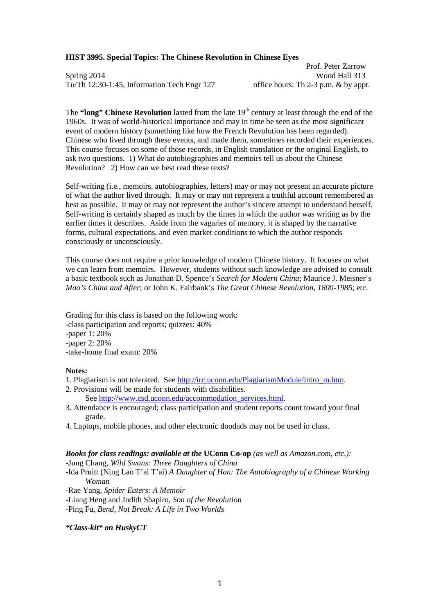### **HIST 3995. Special Topics: The Chinese Revolution in Chinese Eyes**

Spring 2014<br>Tu/Th 12:30-1:45, Information Tech Engr 127 office hours: Th 2-3 p.m. & by appt. Tu/Th  $12:30-1:45$ , Information Tech Engr  $127$ 

Prof. Peter Zarrow

The **"long" Chinese Revolution** lasted from the late 19<sup>th</sup> century at least through the end of the 1960s. It was of world-historical importance and may in time be seen as the most significant event of modern history (something like how the French Revolution has been regarded). Chinese who lived through these events, and made them, sometimes recorded their experiences. This course focuses on some of those records, in English translation or the original English, to ask two questions. 1) What do autobiographies and memoirs tell us about the Chinese Revolution? 2) How can we best read these texts?

Self-writing (i.e., memoirs, autobiographies, letters) may or may not present an accurate picture of what the author lived through. It may or may not represent a truthful account remembered as best as possible. It may or may not represent the author's sincere attempt to understand herself. Self-writing is certainly shaped as much by the times in which the author was writing as by the earlier times it describes. Aside from the vagaries of memory, it is shaped by the narrative forms, cultural expectations, and even market conditions to which the author responds consciously or unconsciously.

This course does not require a prior knowledge of modern Chinese history. It focuses on what we can learn from memoirs. However, students without such knowledge are advised to consult a basic textbook such as Jonathan D. Spence's *Search for Modern China*; Maurice J. Meisner's *Mao's China and After*; or John K. Fairbank's *The Great Chinese Revolution, 1800-1985*; etc.

Grading for this class is based on the following work: -class participation and reports; quizzes: 40% -paper 1: 20% -paper 2: 20% -take-home final exam: 20%

#### **Notes:**

- 1. Plagiarism is not tolerated. See [http://irc.uconn.edu/PlagiarismModule/intro\\_m.htm.](http://irc.uconn.edu/PlagiarismModule/intro_m.htm)
- 2. Provisions will be made for students with disabilities.

See [http://www.csd.uconn.edu/accommodation\\_services.html.](http://www.csd.uconn.edu/accommodation_services.html)

- 3. Attendance is encouraged; class participation and student reports count toward your final grade.
- 4. Laptops, mobile phones, and other electronic doodads may not be used in class.

## *Books for class readings: available at the* **UConn Co-op** *(as well as Amazon.com, etc.):*

-Jung Chang, *Wild Swans: Three Daughters of China*

-Ida Pruitt (Ning Lao T'ai T'ai) *A Daughter of Han: The Autobiography of a Chinese Working Woman* 

-Rae Yang, *Spider Eaters: A Memoir*

-Liang Heng and Judith Shapiro, *Son of the Revolution*

-Ping Fu, *Bend, Not Break: A Life in Two Worlds*

#### *\*Class-kit\* on HuskyCT*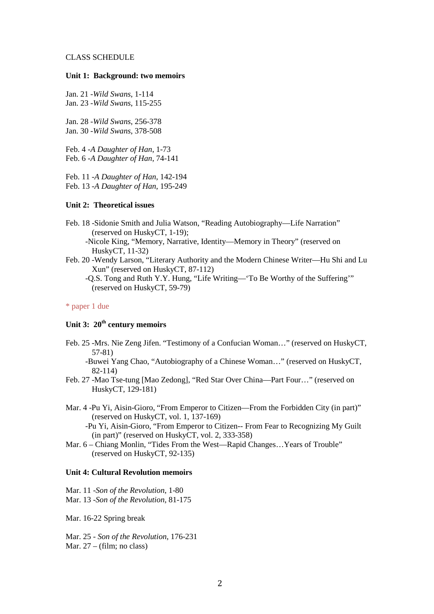#### CLASS SCHEDULE

## **Unit 1: Background: two memoirs**

Jan. 21 *-Wild Swans*, 1-114 Jan. 23 *-Wild Swans*, 115-255

Jan. 28 *-Wild Swans*, 256-378 Jan. 30 *-Wild Swans*, 378-508

Feb. 4 *-A Daughter of Han*, 1-73 Feb. 6 *-A Daughter of Han*, 74-141

Feb. 11 *-A Daughter of Han*, 142-194 Feb. 13 *-A Daughter of Han*, 195-249

## **Unit 2: Theoretical issues**

Feb. 18 -Sidonie Smith and Julia Watson, "Reading Autobiography—Life Narration" (reserved on HuskyCT, 1-19);

-Nicole King, "Memory, Narrative, Identity—Memory in Theory" (reserved on HuskyCT, 11-32)

Feb. 20 -Wendy Larson, "Literary Authority and the Modern Chinese Writer—Hu Shi and Lu Xun" (reserved on HuskyCT, 87-112)

-Q.S. Tong and Ruth Y.Y. Hung, "Life Writing—'To Be Worthy of the Suffering'" (reserved on HuskyCT, 59-79)

## \* paper 1 due

# **Unit 3: 20th century memoirs**

Feb. 25 -Mrs. Nie Zeng Jifen. "Testimony of a Confucian Woman…" (reserved on HuskyCT, 57-81)

-Buwei Yang Chao, "Autobiography of a Chinese Woman…" (reserved on HuskyCT, 82-114)

- Feb. 27 -Mao Tse-tung [Mao Zedong], "Red Star Over China—Part Four…" (reserved on HuskyCT, 129-181)
- Mar. 4 -Pu Yi, Aisin-Gioro, "From Emperor to Citizen—From the Forbidden City (in part)" (reserved on HuskyCT, vol. 1, 137-169)

-Pu Yi, Aisin-Gioro, "From Emperor to Citizen-- From Fear to Recognizing My Guilt (in part)" (reserved on HuskyCT, vol. 2, 333-358)

Mar. 6 – Chiang Monlin, "Tides From the West—Rapid Changes…Years of Trouble" (reserved on HuskyCT, 92-135)

## **Unit 4: Cultural Revolution memoirs**

Mar. 11 -*Son of the Revolution*, 1-80 Mar. 13 -*Son of the Revolution*, 81-175

Mar. 16-22 Spring break

Mar. 25 - *Son of the Revolution*, 176-231 Mar. 27 – (film; no class)